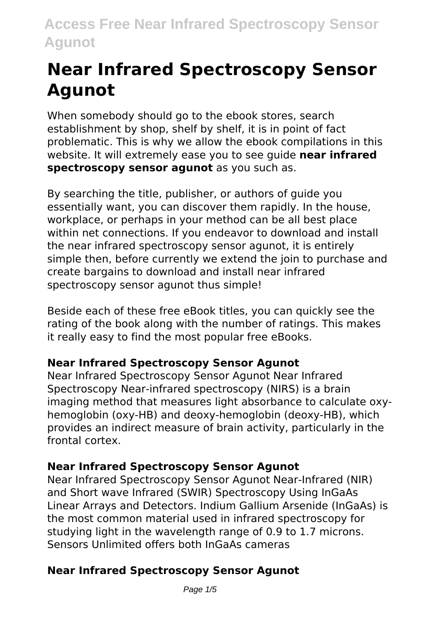# **Near Infrared Spectroscopy Sensor Agunot**

When somebody should go to the ebook stores, search establishment by shop, shelf by shelf, it is in point of fact problematic. This is why we allow the ebook compilations in this website. It will extremely ease you to see guide **near infrared spectroscopy sensor agunot** as you such as.

By searching the title, publisher, or authors of guide you essentially want, you can discover them rapidly. In the house, workplace, or perhaps in your method can be all best place within net connections. If you endeavor to download and install the near infrared spectroscopy sensor agunot, it is entirely simple then, before currently we extend the join to purchase and create bargains to download and install near infrared spectroscopy sensor agunot thus simple!

Beside each of these free eBook titles, you can quickly see the rating of the book along with the number of ratings. This makes it really easy to find the most popular free eBooks.

#### **Near Infrared Spectroscopy Sensor Agunot**

Near Infrared Spectroscopy Sensor Agunot Near Infrared Spectroscopy Near-infrared spectroscopy (NIRS) is a brain imaging method that measures light absorbance to calculate oxyhemoglobin (oxy-HB) and deoxy-hemoglobin (deoxy-HB), which provides an indirect measure of brain activity, particularly in the frontal cortex.

### **Near Infrared Spectroscopy Sensor Agunot**

Near Infrared Spectroscopy Sensor Agunot Near-Infrared (NIR) and Short wave Infrared (SWIR) Spectroscopy Using InGaAs Linear Arrays and Detectors. Indium Gallium Arsenide (InGaAs) is the most common material used in infrared spectroscopy for studying light in the wavelength range of 0.9 to 1.7 microns. Sensors Unlimited offers both InGaAs cameras

### **Near Infrared Spectroscopy Sensor Agunot**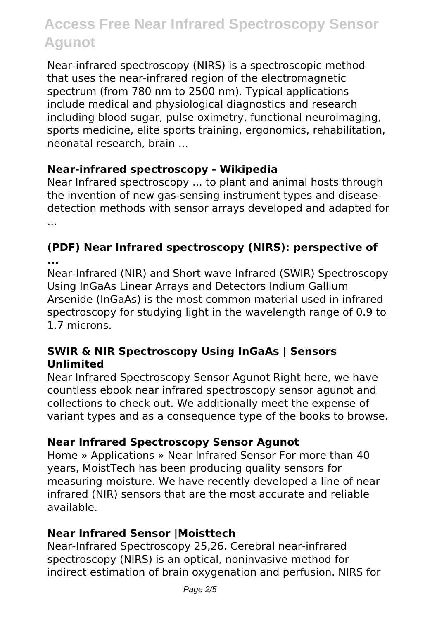Near-infrared spectroscopy (NIRS) is a spectroscopic method that uses the near-infrared region of the electromagnetic spectrum (from 780 nm to 2500 nm). Typical applications include medical and physiological diagnostics and research including blood sugar, pulse oximetry, functional neuroimaging, sports medicine, elite sports training, ergonomics, rehabilitation, neonatal research, brain ...

#### **Near-infrared spectroscopy - Wikipedia**

Near Infrared spectroscopy ... to plant and animal hosts through the invention of new gas-sensing instrument types and diseasedetection methods with sensor arrays developed and adapted for ...

#### **(PDF) Near Infrared spectroscopy (NIRS): perspective of ...**

Near-Infrared (NIR) and Short wave Infrared (SWIR) Spectroscopy Using InGaAs Linear Arrays and Detectors Indium Gallium Arsenide (InGaAs) is the most common material used in infrared spectroscopy for studying light in the wavelength range of 0.9 to 1.7 microns.

#### **SWIR & NIR Spectroscopy Using InGaAs | Sensors Unlimited**

Near Infrared Spectroscopy Sensor Agunot Right here, we have countless ebook near infrared spectroscopy sensor agunot and collections to check out. We additionally meet the expense of variant types and as a consequence type of the books to browse.

#### **Near Infrared Spectroscopy Sensor Agunot**

Home » Applications » Near Infrared Sensor For more than 40 years, MoistTech has been producing quality sensors for measuring moisture. We have recently developed a line of near infrared (NIR) sensors that are the most accurate and reliable available.

#### **Near Infrared Sensor |Moisttech**

Near-Infrared Spectroscopy 25,26. Cerebral near-infrared spectroscopy (NIRS) is an optical, noninvasive method for indirect estimation of brain oxygenation and perfusion. NIRS for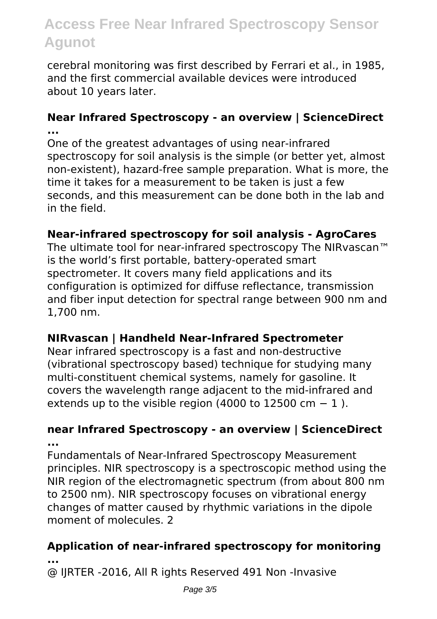cerebral monitoring was first described by Ferrari et al., in 1985, and the first commercial available devices were introduced about 10 years later.

#### **Near Infrared Spectroscopy - an overview | ScienceDirect ...**

One of the greatest advantages of using near-infrared spectroscopy for soil analysis is the simple (or better yet, almost non-existent), hazard-free sample preparation. What is more, the time it takes for a measurement to be taken is just a few seconds, and this measurement can be done both in the lab and in the field.

#### **Near-infrared spectroscopy for soil analysis - AgroCares**

The ultimate tool for near-infrared spectroscopy The NIRvascan™ is the world's first portable, battery-operated smart spectrometer. It covers many field applications and its configuration is optimized for diffuse reflectance, transmission and fiber input detection for spectral range between 900 nm and 1,700 nm.

#### **NIRvascan | Handheld Near‑Infrared Spectrometer**

Near infrared spectroscopy is a fast and non-destructive (vibrational spectroscopy based) technique for studying many multi-constituent chemical systems, namely for gasoline. It covers the wavelength range adjacent to the mid-infrared and extends up to the visible region (4000 to 12500 cm  $-1$ ).

#### **near Infrared Spectroscopy - an overview | ScienceDirect ...**

Fundamentals of Near‐Infrared Spectroscopy Measurement principles. NIR spectroscopy is a spectroscopic method using the NIR region of the electromagnetic spectrum (from about 800 nm to 2500 nm). NIR spectroscopy focuses on vibrational energy changes of matter caused by rhythmic variations in the dipole moment of molecules. 2

#### **Application of near‐infrared spectroscopy for monitoring ...**

@ IJRTER -2016, All R ights Reserved 491 Non -Invasive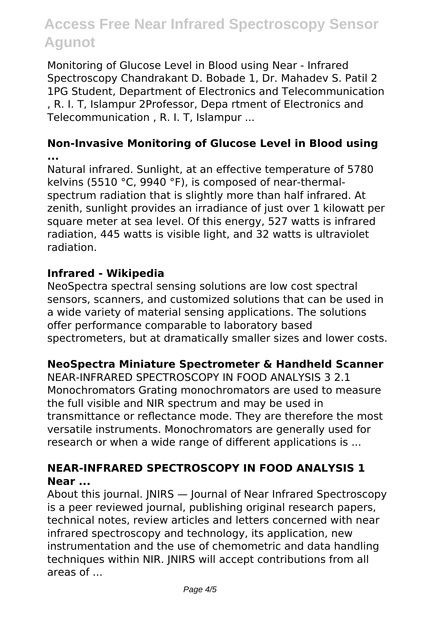Monitoring of Glucose Level in Blood using Near - Infrared Spectroscopy Chandrakant D. Bobade 1, Dr. Mahadev S. Patil 2 1PG Student, Department of Electronics and Telecommunication , R. I. T, Islampur 2Professor, Depa rtment of Electronics and Telecommunication , R. I. T, Islampur ...

#### **Non-Invasive Monitoring of Glucose Level in Blood using ...**

Natural infrared. Sunlight, at an effective temperature of 5780 kelvins (5510 °C, 9940 °F), is composed of near-thermalspectrum radiation that is slightly more than half infrared. At zenith, sunlight provides an irradiance of just over 1 kilowatt per square meter at sea level. Of this energy, 527 watts is infrared radiation, 445 watts is visible light, and 32 watts is ultraviolet radiation.

#### **Infrared - Wikipedia**

NeoSpectra spectral sensing solutions are low cost spectral sensors, scanners, and customized solutions that can be used in a wide variety of material sensing applications. The solutions offer performance comparable to laboratory based spectrometers, but at dramatically smaller sizes and lower costs.

#### **NeoSpectra Miniature Spectrometer & Handheld Scanner**

NEAR-INFRARED SPECTROSCOPY IN FOOD ANALYSIS 3 2.1 Monochromators Grating monochromators are used to measure the full visible and NIR spectrum and may be used in transmittance or reflectance mode. They are therefore the most versatile instruments. Monochromators are generally used for research or when a wide range of different applications is ...

#### **NEAR-INFRARED SPECTROSCOPY IN FOOD ANALYSIS 1 Near ...**

About this journal. JNIRS — Journal of Near Infrared Spectroscopy is a peer reviewed journal, publishing original research papers, technical notes, review articles and letters concerned with near infrared spectroscopy and technology, its application, new instrumentation and the use of chemometric and data handling techniques within NIR. JNIRS will accept contributions from all areas of ...